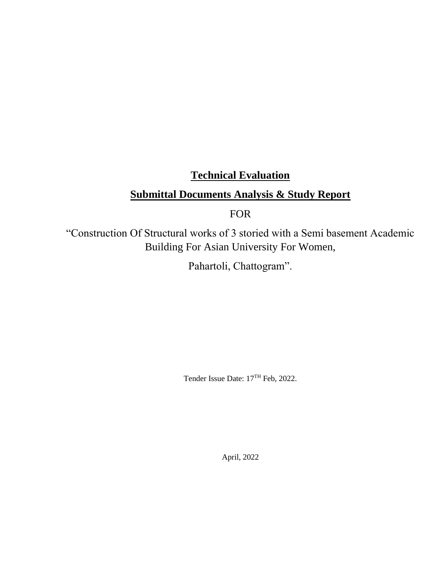# **Technical Evaluation**

# **Submittal Documents Analysis & Study Report**

FOR

"Construction Of Structural works of 3 storied with a Semi basement Academic Building For Asian University For Women,

Pahartoli, Chattogram".

Tender Issue Date: 17TH Feb, 2022.

April, 2022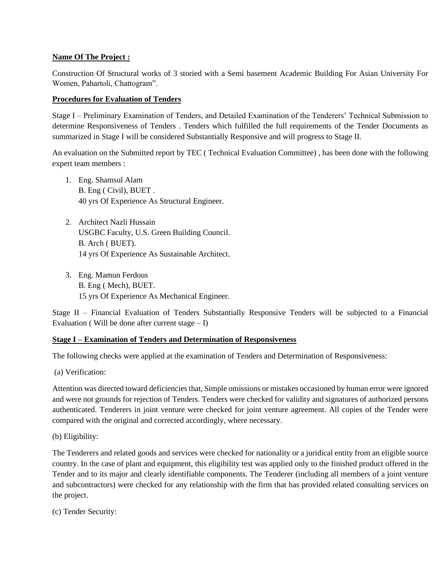#### **Name Of The Project :**

Construction Of Structural works of 3 storied with a Semi basement Academic Building For Asian University For Women, Pahartoli, Chattogram".

#### **Procedures for Evaluation of Tenders**

Stage I – Preliminary Examination of Tenders, and Detailed Examination of the Tenderers' Technical Submission to determine Responsiveness of Tenders . Tenders which fulfilled the full requirements of the Tender Documents as summarized in Stage I will be considered Substantially Responsive and will progress to Stage II.

An evaluation on the Submitted report by TEC ( Technical Evaluation Committee) , has been done with the following expert team members :

- 1. Eng. Shamsul Alam B. Eng ( Civil), BUET . 40 yrs Of Experience As Structural Engineer.
- 2. Architect Nazli Hussain USGBC Faculty, U.S. Green Building Council. B. Arch ( BUET). 14 yrs Of Experience As Sustainable Architect.
- 3. Eng. Mamun Ferdous B. Eng ( Mech), BUET. 15 yrs Of Experience As Mechanical Engineer.

Stage II – Financial Evaluation of Tenders Substantially Responsive Tenders will be subjected to a Financial Evaluation (Will be done after current stage  $- I$ )

#### **Stage I – Examination of Tenders and Determination of Responsiveness**

The following checks were applied at the examination of Tenders and Determination of Responsiveness:

(a) Verification:

Attention was directed toward deficiencies that, Simple omissions or mistakes occasioned by human error were ignored and were not grounds for rejection of Tenders. Tenders were checked for validity and signatures of authorized persons authenticated. Tenderers in joint venture were checked for joint venture agreement. All copies of the Tender were compared with the original and corrected accordingly, where necessary.

(b) Eligibility:

The Tenderers and related goods and services were checked for nationality or a juridical entity from an eligible source country. In the case of plant and equipment, this eligibility test was applied only to the finished product offered in the Tender and to its major and clearly identifiable components. The Tenderer (including all members of a joint venture and subcontractors) were checked for any relationship with the firm that has provided related consulting services on the project.

(c) Tender Security: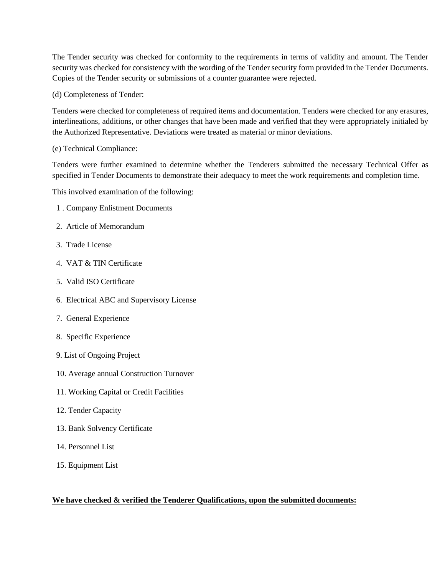The Tender security was checked for conformity to the requirements in terms of validity and amount. The Tender security was checked for consistency with the wording of the Tender security form provided in the Tender Documents. Copies of the Tender security or submissions of a counter guarantee were rejected.

(d) Completeness of Tender:

Tenders were checked for completeness of required items and documentation. Tenders were checked for any erasures, interlineations, additions, or other changes that have been made and verified that they were appropriately initialed by the Authorized Representative. Deviations were treated as material or minor deviations.

#### (e) Technical Compliance:

Tenders were further examined to determine whether the Tenderers submitted the necessary Technical Offer as specified in Tender Documents to demonstrate their adequacy to meet the work requirements and completion time.

This involved examination of the following:

- 1 . Company Enlistment Documents
- 2. Article of Memorandum
- 3. Trade License
- 4. VAT & TIN Certificate
- 5. Valid ISO Certificate
- 6. Electrical ABC and Supervisory License
- 7. General Experience
- 8. Specific Experience
- 9. List of Ongoing Project
- 10. Average annual Construction Turnover
- 11. Working Capital or Credit Facilities
- 12. Tender Capacity
- 13. Bank Solvency Certificate
- 14. Personnel List
- 15. Equipment List

#### **We have checked & verified the Tenderer Qualifications, upon the submitted documents:**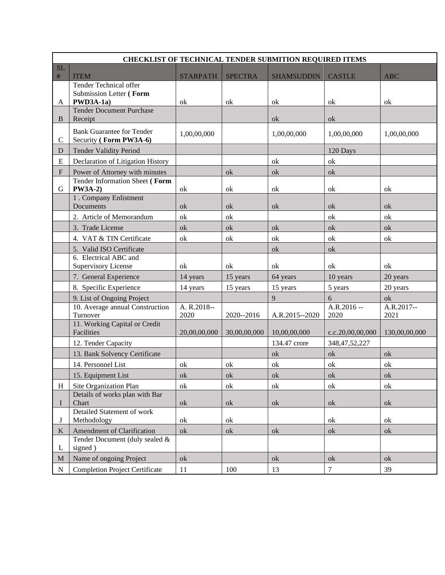|                           | <b>CHECKLIST OF TECHNICAL TENDER SUBMITION REQUIRED ITEMS</b> |                     |                |                   |                      |                    |  |  |
|---------------------------|---------------------------------------------------------------|---------------------|----------------|-------------------|----------------------|--------------------|--|--|
| <b>SL</b>                 |                                                               |                     |                |                   |                      |                    |  |  |
| $\#$                      | <b>ITEM</b><br>Tender Technical offer                         | <b>STARPATH</b>     | <b>SPECTRA</b> | <b>SHAMSUDDIN</b> | <b>CASTLE</b>        | <b>ABC</b>         |  |  |
|                           | Submission Letter (Form                                       |                     |                |                   |                      |                    |  |  |
| A                         | PWD3A-1a)                                                     | ok                  | ok             | ok                | ok                   | ok                 |  |  |
| B                         | <b>Tender Document Purchase</b><br>Receipt                    |                     |                | ok                | ok                   |                    |  |  |
| $\mathsf{C}$              | <b>Bank Guarantee for Tender</b><br>Security (Form PW3A-6)    | 1,00,00,000         |                | 1,00,00,000       | 1,00,00,000          | 1,00,00,000        |  |  |
| D                         | <b>Tender Validity Period</b>                                 |                     |                |                   | 120 Days             |                    |  |  |
| ${\bf E}$                 | Declaration of Litigation History                             |                     |                | ok                | ok                   |                    |  |  |
| $\boldsymbol{\mathrm{F}}$ | Power of Attorney with minutes                                |                     | ok             | ok                | ok                   |                    |  |  |
| G                         | Tender Information Sheet (Form<br><b>PW3A-2)</b>              | ok                  | ok             | ok                | ok                   | ok                 |  |  |
|                           | 1. Company Enlistment<br>Documents                            | ok                  | ok             | ok                | ok                   | ok                 |  |  |
|                           | 2. Article of Memorandum                                      | ok                  | ok             |                   | ok                   | ok                 |  |  |
|                           | 3. Trade License                                              | ok                  | ok             | ok                | $\alpha$             | ok                 |  |  |
|                           | 4. VAT & TIN Certificate                                      | ok                  | ok             | ok                | ok                   | ok                 |  |  |
|                           | 5. Valid ISO Certificate                                      |                     |                | ok                | ok                   |                    |  |  |
|                           | 6. Electrical ABC and<br>Supervisory License                  | ok                  | ok             | ok                | ok                   | ok                 |  |  |
|                           | 7. General Experience                                         | 14 years            | 15 years       | 64 years          | 10 years             | 20 years           |  |  |
|                           | 8. Specific Experience                                        | 14 years            | 15 years       | 15 years          | 5 years              | 20 years           |  |  |
|                           | 9. List of Ongoing Project                                    |                     |                | $\overline{9}$    | 6                    | ok                 |  |  |
|                           | 10. Average annual Construction<br>Turnover                   | A. R.2018--<br>2020 | 2020--2016     | A.R.2015--2020    | $A.R.2016 -$<br>2020 | A.R.2017--<br>2021 |  |  |
|                           | 11. Working Capital or Credit<br>Facilities                   | 20,00,00,000        | 30,00,00,000   | 10,00,00,000      | c.c.20,00,00,000     | 130,00,00,000      |  |  |
|                           | 12. Tender Capacity                                           |                     |                | 134.47 crore      | 348, 47, 52, 227     |                    |  |  |
|                           | 13. Bank Solvency Certificate                                 |                     |                | ok                | ok                   | $\alpha$           |  |  |
|                           | 14. Personnel List                                            | ok                  | ok             | ok                | ok                   | ok                 |  |  |
|                           | 15. Equipment List                                            | ok                  | ok             | ok                | ok                   | ok                 |  |  |
| H                         | Site Organization Plan                                        | ok                  | ok             | ok                | ok                   | ok                 |  |  |
| L                         | Details of works plan with Bar<br>Chart                       | ok                  | ok             | ok                | ok                   | ok                 |  |  |
| J                         | Detailed Statement of work<br>Methodology                     | ok                  | ok             |                   | ok                   | ok                 |  |  |
| K                         | Amendment of Clarification                                    | ok                  | $\alpha$       | ok                | ok                   | ok                 |  |  |
| L                         | Tender Document (duly sealed &<br>signed)                     |                     |                |                   |                      |                    |  |  |
| M                         | Name of ongoing Project                                       | ok                  |                | ok                | ok                   | ok                 |  |  |
| $\mathbf N$               | <b>Completion Project Certificate</b>                         | 11                  | 100            | 13                | $\boldsymbol{7}$     | 39                 |  |  |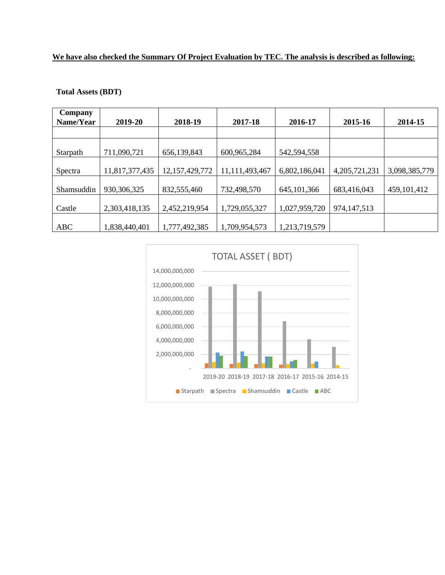# **We have also checked the Summary Of Project Evaluation by TEC. The analysis is described as following:**

| Company<br>Name/Year | 2019-20        | 2018-19           | 2017-18        | 2016-17       | 2015-16          | 2014-15       |
|----------------------|----------------|-------------------|----------------|---------------|------------------|---------------|
|                      |                |                   |                |               |                  |               |
| Starpath             | 711,090,721    | 656,139,843       | 600,965,284    | 542,594,558   |                  |               |
| Spectra              | 11,817,377,435 | 12, 157, 429, 772 | 11,111,493,467 | 6,802,186,041 | 4, 205, 721, 231 | 3,098,385,779 |
| Shamsuddin           | 930, 306, 325  | 832,555,460       | 732,498,570    | 645, 101, 366 | 683,416,043      | 459, 101, 412 |
| Castle               | 2,303,418,135  | 2,452,219,954     | 1,729,055,327  | 1,027,959,720 | 974, 147, 513    |               |
| <b>ABC</b>           | 1,838,440,401  | 1,777,492,385     | 1,709,954,573  | 1,213,719,579 |                  |               |

#### **Total Assets (BDT)**

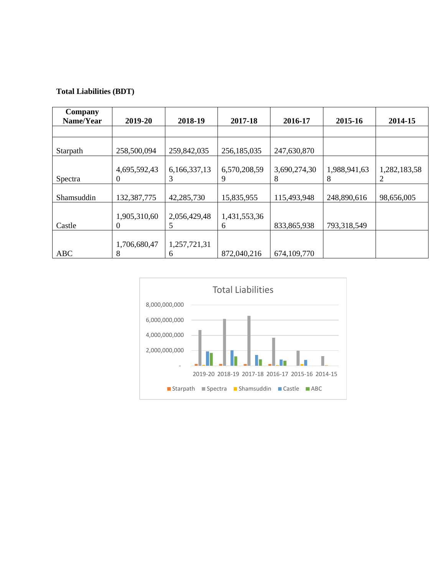## **Total Liabilities (BDT)**

| Company<br>Name/Year | 2019-20                  | 2018-19           | 2017-18           | 2016-17           | 2015-16           | 2014-15      |
|----------------------|--------------------------|-------------------|-------------------|-------------------|-------------------|--------------|
|                      |                          |                   |                   |                   |                   |              |
| Starpath             | 258,500,094              | 259,842,035       | 256,185,035       | 247,630,870       |                   |              |
| Spectra              | 4,695,592,43<br>$\theta$ | 6,166,337,13<br>3 | 6,570,208,59<br>9 | 3,690,274,30<br>8 | 1,988,941,63<br>8 | 1,282,183,58 |
| Shamsuddin           | 132,387,775              | 42,285,730        | 15,835,955        | 115,493,948       | 248,890,616       | 98,656,005   |
| Castle               | 1,905,310,60<br>$\theta$ | 2,056,429,48<br>5 | 1,431,553,36<br>6 | 833,865,938       | 793,318,549       |              |
| <b>ABC</b>           | 1,706,680,47<br>8        | 1,257,721,31<br>6 | 872,040,216       | 674, 109, 770     |                   |              |

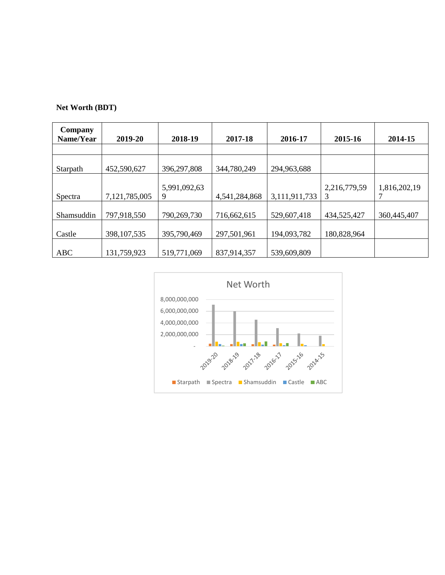|  | <b>Net Worth (BDT)</b> |  |
|--|------------------------|--|
|--|------------------------|--|

| Company<br>Name/Year | 2019-20       | 2018-19           | 2017-18       | 2016-17       | 2015-16           | 2014-15      |
|----------------------|---------------|-------------------|---------------|---------------|-------------------|--------------|
|                      |               |                   |               |               |                   |              |
| Starpath             | 452,590,627   | 396,297,808       | 344,780,249   | 294,963,688   |                   |              |
| Spectra              | 7,121,785,005 | 5,991,092,63<br>9 | 4,541,284,868 | 3,111,911,733 | 2,216,779,59<br>3 | 1,816,202,19 |
| Shamsuddin           | 797,918,550   | 790,269,730       | 716,662,615   | 529,607,418   | 434,525,427       | 360,445,407  |
| Castle               | 398, 107, 535 | 395,790,469       | 297,501,961   | 194,093,782   | 180,828,964       |              |
| <b>ABC</b>           | 131,759,923   | 519,771,069       | 837,914,357   | 539,609,809   |                   |              |

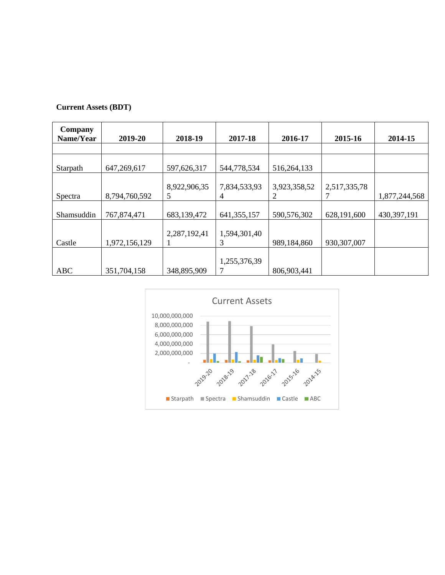| Company<br>Name/Year | 2019-20       | 2018-19           | 2017-18           | 2016-17           | 2015-16       | 2014-15       |
|----------------------|---------------|-------------------|-------------------|-------------------|---------------|---------------|
|                      |               |                   |                   |                   |               |               |
| Starpath             | 647,269,617   | 597,626,317       | 544,778,534       | 516,264,133       |               |               |
| Spectra              | 8,794,760,592 | 8,922,906,35<br>5 | 7,834,533,93<br>4 | 3,923,358,52<br>2 | 2,517,335,78  | 1,877,244,568 |
| Shamsuddin           | 767,874,471   | 683,139,472       | 641, 355, 157     | 590,576,302       | 628,191,600   | 430,397,191   |
| Castle               | 1,972,156,129 | 2,287,192,41      | 1,594,301,40<br>3 | 989,184,860       | 930, 307, 007 |               |
| <b>ABC</b>           | 351,704,158   | 348,895,909       | 1,255,376,39      | 806,903,441       |               |               |

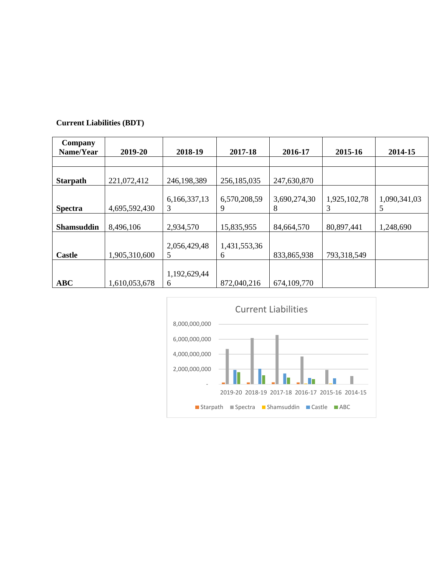| Company<br>Name/Year | 2019-20       | 2018-19           | 2017-18           | 2016-17           | 2015-16           | 2014-15           |
|----------------------|---------------|-------------------|-------------------|-------------------|-------------------|-------------------|
|                      |               |                   |                   |                   |                   |                   |
| <b>Starpath</b>      | 221,072,412   | 246,198,389       | 256,185,035       | 247,630,870       |                   |                   |
| <b>Spectra</b>       | 4,695,592,430 | 6,166,337,13<br>3 | 6,570,208,59<br>9 | 3,690,274,30<br>8 | 1,925,102,78<br>3 | 1,090,341,03<br>5 |
| <b>Shamsuddin</b>    | 8,496,106     | 2,934,570         | 15,835,955        | 84,664,570        | 80,897,441        | 1,248,690         |
| <b>Castle</b>        | 1,905,310,600 | 2,056,429,48<br>5 | 1,431,553,36<br>6 | 833,865,938       | 793,318,549       |                   |
| <b>ABC</b>           | 1,610,053,678 | 1,192,629,44<br>6 | 872,040,216       | 674, 109, 770     |                   |                   |

## **Current Liabilities (BDT)**

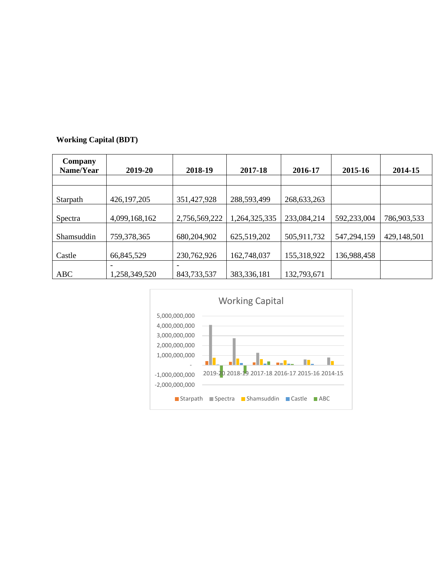## **Working Capital (BDT)**

| Company<br>Name/Year | 2019-20       | 2018-19       | 2017-18       | 2016-17       | 2015-16     | 2014-15     |
|----------------------|---------------|---------------|---------------|---------------|-------------|-------------|
|                      |               |               |               |               |             |             |
| Starpath             | 426, 197, 205 | 351,427,928   | 288,593,499   | 268, 633, 263 |             |             |
| Spectra              | 4,099,168,162 | 2,756,569,222 | 1,264,325,335 | 233,084,214   | 592,233,004 | 786,903,533 |
| Shamsuddin           | 759,378,365   | 680,204,902   | 625,519,202   | 505,911,732   | 547,294,159 | 429,148,501 |
| Castle               | 66,845,529    | 230,762,926   | 162,748,037   | 155,318,922   | 136,988,458 |             |
|                      |               |               |               |               |             |             |
| <b>ABC</b>           | 1,258,349,520 | 843,733,537   | 383,336,181   | 132,793,671   |             |             |

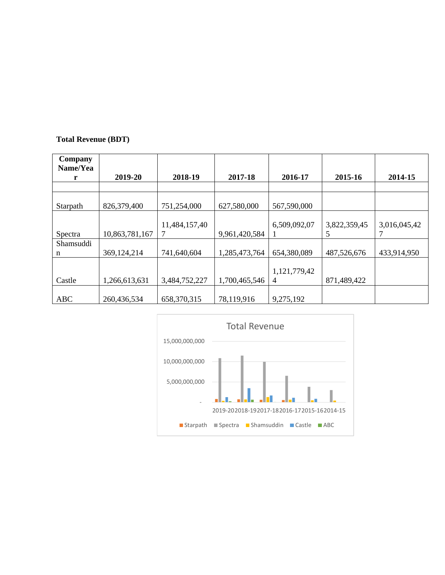## **Total Revenue (BDT)**

| Company<br>Name/Yea |                |               |               |                   |              |              |
|---------------------|----------------|---------------|---------------|-------------------|--------------|--------------|
| r                   | 2019-20        | 2018-19       | 2017-18       | 2016-17           | 2015-16      | 2014-15      |
|                     |                |               |               |                   |              |              |
| Starpath            | 826,379,400    | 751,254,000   | 627,580,000   | 567,590,000       |              |              |
|                     |                | 11,484,157,40 |               | 6,509,092,07      | 3,822,359,45 | 3,016,045,42 |
| Spectra             | 10,863,781,167 |               | 9,961,420,584 |                   | 5            |              |
| Shamsuddi<br>n      | 369, 124, 214  | 741,640,604   | 1,285,473,764 | 654,380,089       | 487,526,676  | 433,914,950  |
| Castle              | 1,266,613,631  | 3,484,752,227 | 1,700,465,546 | 1,121,779,42<br>4 | 871,489,422  |              |
| <b>ABC</b>          | 260,436,534    | 658,370,315   | 78,119,916    | 9,275,192         |              |              |

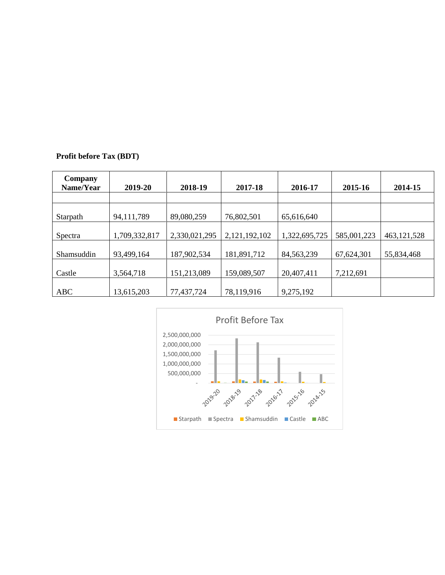|  | Profit before Tax (BDT) |  |  |  |
|--|-------------------------|--|--|--|
|--|-------------------------|--|--|--|

| Company<br>Name/Year | 2019-20       | 2018-19       | 2017-18       | 2016-17       | 2015-16     | 2014-15       |
|----------------------|---------------|---------------|---------------|---------------|-------------|---------------|
|                      |               |               |               |               |             |               |
| Starpath             | 94, 111, 789  | 89,080,259    | 76,802,501    | 65,616,640    |             |               |
| Spectra              | 1,709,332,817 | 2,330,021,295 | 2,121,192,102 | 1,322,695,725 | 585,001,223 | 463, 121, 528 |
| Shamsuddin           | 93,499,164    | 187,902,534   | 181,891,712   | 84, 563, 239  | 67,624,301  | 55,834,468    |
| Castle               | 3,564,718     | 151,213,089   | 159,089,507   | 20,407,411    | 7,212,691   |               |
| <b>ABC</b>           | 13,615,203    | 77,437,724    | 78,119,916    | 9,275,192     |             |               |

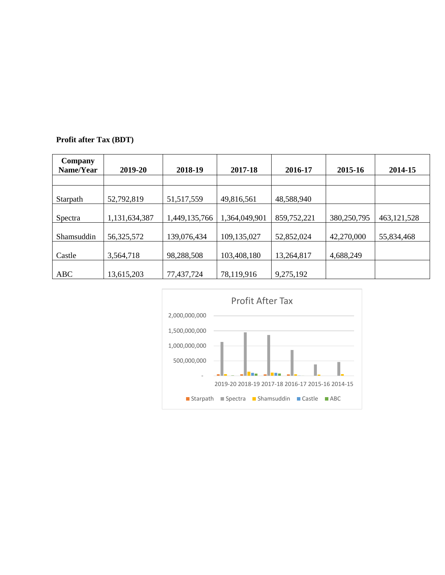# **Profit after Tax (BDT)**

| Company<br>Name/Year | 2019-20       | 2018-19       | 2017-18       | 2016-17     | 2015-16     | 2014-15       |
|----------------------|---------------|---------------|---------------|-------------|-------------|---------------|
| Starpath             | 52,792,819    | 51, 517, 559  | 49,816,561    | 48,588,940  |             |               |
| Spectra              | 1,131,634,387 | 1,449,135,766 | 1,364,049,901 | 859,752,221 | 380,250,795 | 463, 121, 528 |
| Shamsuddin           | 56,325,572    | 139,076,434   | 109,135,027   | 52,852,024  | 42,270,000  | 55,834,468    |
| Castle               | 3,564,718     | 98,288,508    | 103,408,180   | 13,264,817  | 4,688,249   |               |
| <b>ABC</b>           | 13,615,203    | 77,437,724    | 78,119,916    | 9,275,192   |             |               |

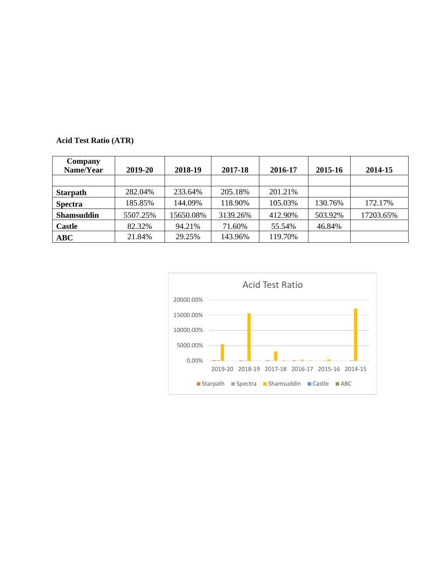| Company<br>Name/Year | 2019-20  | 2018-19   | 2017-18  | 2016-17 | 2015-16 | 2014-15   |
|----------------------|----------|-----------|----------|---------|---------|-----------|
|                      |          |           |          |         |         |           |
| <b>Starpath</b>      | 282.04%  | 233.64%   | 205.18%  | 201.21% |         |           |
| <b>Spectra</b>       | 185.85%  | 144.09%   | 118.90%  | 105.03% | 130.76% | 172.17%   |
| <b>Shamsuddin</b>    | 5507.25% | 15650.08% | 3139.26% | 412.90% | 503.92% | 17203.65% |
| <b>Castle</b>        | 82.32%   | 94.21%    | 71.60%   | 55.54%  | 46.84%  |           |
| ABC                  | 21.84%   | 29.25%    | 143.96%  | 119.70% |         |           |

# **Acid Test Ratio (ATR)**

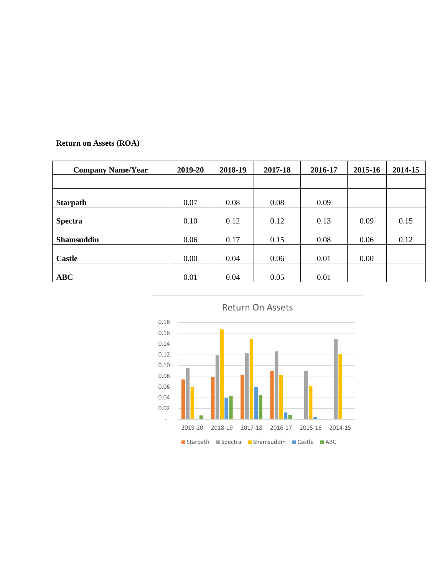# **Return on Assets (ROA)**

| <b>Company Name/Year</b> | 2019-20 | 2018-19 | 2017-18 | 2016-17 | 2015-16 | 2014-15 |
|--------------------------|---------|---------|---------|---------|---------|---------|
|                          |         |         |         |         |         |         |
| <b>Starpath</b>          | 0.07    | 0.08    | 0.08    | 0.09    |         |         |
| <b>Spectra</b>           | 0.10    | 0.12    | 0.12    | 0.13    | 0.09    | 0.15    |
| <b>Shamsuddin</b>        | 0.06    | 0.17    | 0.15    | 0.08    | 0.06    | 0.12    |
| <b>Castle</b>            | 0.00    | 0.04    | 0.06    | 0.01    | 0.00    |         |
| ABC                      | 0.01    | 0.04    | 0.05    | 0.01    |         |         |

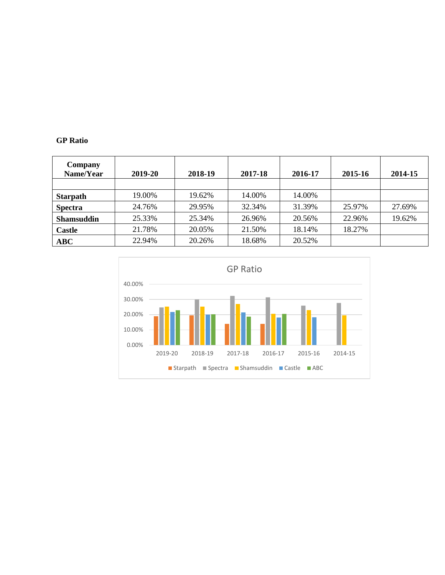#### **GP Ratio**

| Company<br>Name/Year | 2019-20 | 2018-19 | 2017-18 | 2016-17 | 2015-16 | 2014-15 |
|----------------------|---------|---------|---------|---------|---------|---------|
|                      |         |         |         |         |         |         |
| <b>Starpath</b>      | 19.00%  | 19.62%  | 14.00%  | 14.00%  |         |         |
| <b>Spectra</b>       | 24.76%  | 29.95%  | 32.34%  | 31.39%  | 25.97%  | 27.69%  |
| <b>Shamsuddin</b>    | 25.33%  | 25.34%  | 26.96%  | 20.56%  | 22.96%  | 19.62%  |
| <b>Castle</b>        | 21.78%  | 20.05%  | 21.50%  | 18.14%  | 18.27%  |         |
| ABC                  | 22.94%  | 20.26%  | 18.68%  | 20.52%  |         |         |

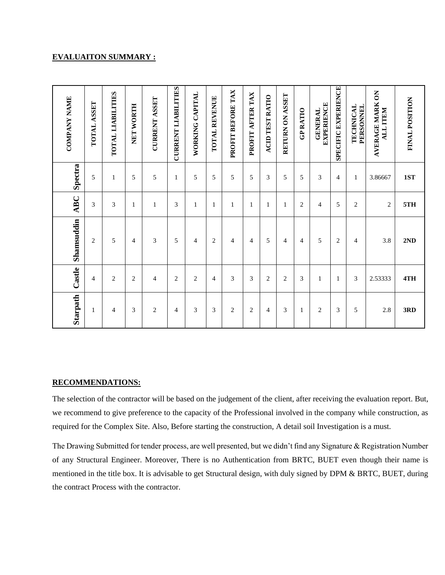#### **EVALUAITON SUMMARY :**

| Starpath       | Castle         | Shamsuddin     | <b>ABC</b>     | Spectra        | <b>COMPANY NAME</b>                 |
|----------------|----------------|----------------|----------------|----------------|-------------------------------------|
| $\mathbf{1}$   | $\overline{4}$ | $\overline{2}$ | 3              | 5              | TOTAL ASSET                         |
| 4              | $\overline{c}$ | 5              | 3              | 1              | TOTAL LIABILITIES                   |
| 3              | $\overline{c}$ | 4              | 1              | 5              | NET WORTH                           |
| $\overline{c}$ | 4              | 3              | 1              | 5              | <b>CURRENT ASSET</b>                |
| 4              | $\overline{c}$ | 5              | 3              | 1              | <b>CURRENT LIABILITIES</b>          |
| 3              | $\overline{c}$ | 4              | 1              | 5              | WORKING CAPITAL                     |
| 3              | 4              | 2              | $\mathbf{1}$   | 5              | TOTAL REVENUE                       |
| $\overline{c}$ | 3              | 4              | 1              | 5              | PROFIT BEFORE TAX                   |
| $\overline{c}$ | 3              | 4              | 1              | 5              | PROFIT AFTER TAX                    |
| 4              | $\overline{c}$ | 5              | 1              | 3              | ACID TEST RATIO                     |
| 3              | $\mathbf{2}$   | $\overline{4}$ | $\mathbf{1}$   | 5              | RETURN ON ASSET                     |
| 1              | 3              | $\overline{4}$ | $\mathfrak{2}$ | 5              | <b>GP RATIO</b>                     |
| $\overline{c}$ | 1              | 5              | 4              | 3              | <b>EXPERIENCE</b><br><b>GENERAL</b> |
| 3              | $\mathbf{1}$   | 2              | 5              | $\overline{4}$ | <b>SPECIFIC EXPERIENCE</b>          |
| 5              | 3              | 4              | $\overline{c}$ | 1              | <b>TECHNICAL</b><br>PERSONNEL       |
| 2.8            | 2.53333        | 3.8            | $\overline{2}$ | 3.86667        | AVERAGE MARK ON<br>ALL ITEM         |
| 3RD            | 4TH            | 2ND            | 5TH            | 1ST            | FINAL POSITION                      |

#### **RECOMMENDATIONS:**

The selection of the contractor will be based on the judgement of the client, after receiving the evaluation report. But, we recommend to give preference to the capacity of the Professional involved in the company while construction, as required for the Complex Site. Also, Before starting the construction, A detail soil Investigation is a must.

The Drawing Submitted for tender process, are well presented, but we didn't find any Signature & Registration Number of any Structural Engineer. Moreover, There is no Authentication from BRTC, BUET even though their name is mentioned in the title box. It is advisable to get Structural design, with duly signed by DPM & BRTC, BUET, during the contract Process with the contractor.